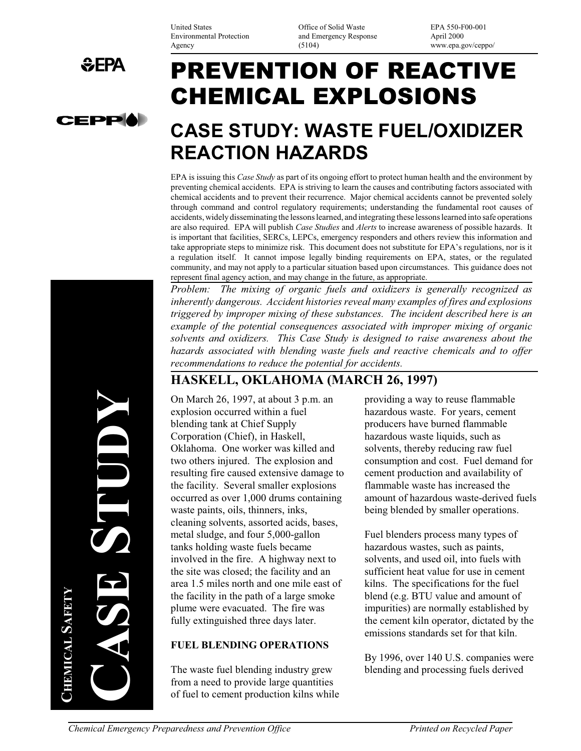United States Office of Solid Waste EPA 550-F00-001 Environmental Protection and Emergency Response April 2000<br>Agency (5104) www.epa.g

www.epa.gov/ceppo/

# PREVENTION OF REACTIVE CHEMICAL EXPLOSIONS

## **CASE STUDY: WASTE FUEL/OXIDIZER REACTION HAZARDS**

EPA is issuing this *Case Study* as part of its ongoing effort to protect human health and the environment by preventing chemical accidents. EPA is striving to learn the causes and contributing factors associated with chemical accidents and to prevent their recurrence. Major chemical accidents cannot be prevented solely through command and control regulatory requirements; understanding the fundamental root causes of accidents, widely disseminating the lessons learned, and integrating these lessons learned into safe operations are also required. EPA will publish *Case Studies* and *Alerts* to increase awareness of possible hazards. It is important that facilities, SERCs, LEPCs, emergency responders and others review this information and take appropriate steps to minimize risk. This document does not substitute for EPA's regulations, nor is it a regulation itself. It cannot impose legally binding requirements on EPA, states, or the regulated community, and may not apply to a particular situation based upon circumstances. This guidance does not represent final agency action, and may change in the future, as appropriate.

*Problem: The mixing of organic fuels and oxidizers is generally recognized as inherently dangerous. Accident histories reveal many examples of fires and explosions triggered by improper mixing of these substances. The incident described here is an example of the potential consequences associated with improper mixing of organic solvents and oxidizers. This Case Study is designed to raise awareness about the hazards associated with blending waste fuels and reactive chemicals and to offer recommendations to reduce the potential for accidents.* 

### **HASKELL, OKLAHOMA (MARCH 26, 1997)**

On March 26, 1997, at about 3 p.m. an providing a way to reuse flammable explosion occurred within a fuel hazardous waste. For years, cement blending tank at Chief Supply producers have burned flammable Corporation (Chief), in Haskell, hazardous waste liquids, such as Oklahoma. One worker was killed and solvents, thereby reducing raw fuel two others injured. The explosion and consumption and cost. Fuel demand for resulting fire caused extensive damage to cement production and availability of the facility. Several smaller explosions flammable waste has increased the occurred as over 1,000 drums containing amount of hazardous waste-derived fuels waste paints, oils, thinners, inks, being blended by smaller operations. cleaning solvents, assorted acids, bases, metal sludge, and four 5,000-gallon Fuel blenders process many types of tanks holding waste fuels became hazardous wastes, such as paints, involved in the fire. A highway next to solvents, and used oil, into fuels with the site was closed; the facility and an sufficient heat value for use in cement area 1.5 miles north and one mile east of kilns. The specifications for the fuel the facility in the path of a large smoke blend (e.g. BTU value and amount of plume were evacuated. The fire was impurities) are normally established by

#### **FUEL BLENDING OPERATIONS**

The waste fuel blending industry grew blending and processing fuels derived from a need to provide large quantities of fuel to cement production kilns while

fully extinguished three days later. the cement kiln operator, dictated by the emissions standards set for that kiln.

By 1996, over 140 U.S. companies were

**CASE STUDY**  STUD **SHEMICAL SAFETY CHEMICAL** 

 $EFA$ 

**CEPP**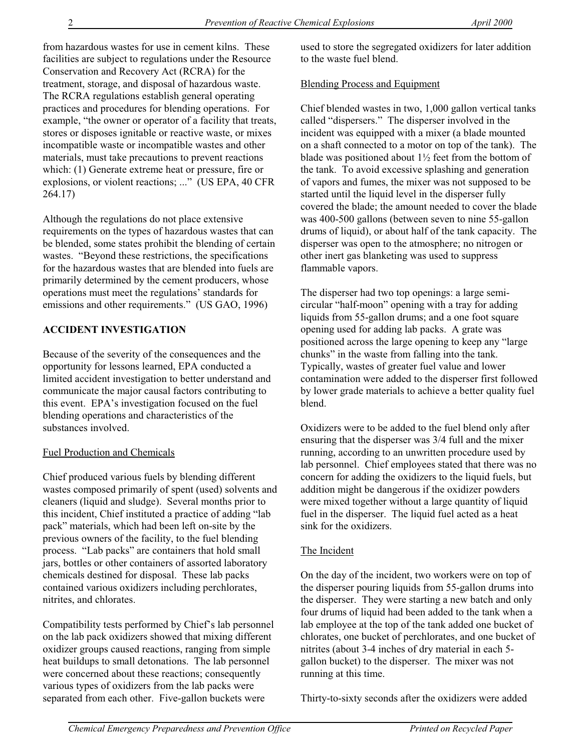from hazardous wastes for use in cement kilns. These facilities are subject to regulations under the Resource Conservation and Recovery Act (RCRA) for the treatment, storage, and disposal of hazardous waste. The RCRA regulations establish general operating practices and procedures for blending operations. For example, "the owner or operator of a facility that treats, stores or disposes ignitable or reactive waste, or mixes incompatible waste or incompatible wastes and other materials, must take precautions to prevent reactions which: (1) Generate extreme heat or pressure, fire or explosions, or violent reactions; ..." (US EPA, 40 CFR 264.17)

Although the regulations do not place extensive requirements on the types of hazardous wastes that can be blended, some states prohibit the blending of certain wastes. "Beyond these restrictions, the specifications for the hazardous wastes that are blended into fuels are primarily determined by the cement producers, whose operations must meet the regulations' standards for emissions and other requirements." (US GAO, 1996)

#### **ACCIDENT INVESTIGATION**

Because of the severity of the consequences and the opportunity for lessons learned, EPA conducted a limited accident investigation to better understand and communicate the major causal factors contributing to this event. EPA's investigation focused on the fuel blending operations and characteristics of the substances involved.

#### Fuel Production and Chemicals

Chief produced various fuels by blending different wastes composed primarily of spent (used) solvents and cleaners (liquid and sludge). Several months prior to this incident, Chief instituted a practice of adding "lab pack" materials, which had been left on-site by the previous owners of the facility, to the fuel blending process. "Lab packs" are containers that hold small jars, bottles or other containers of assorted laboratory chemicals destined for disposal. These lab packs contained various oxidizers including perchlorates, nitrites, and chlorates.

Compatibility tests performed by Chief's lab personnel on the lab pack oxidizers showed that mixing different oxidizer groups caused reactions, ranging from simple heat buildups to small detonations. The lab personnel were concerned about these reactions; consequently various types of oxidizers from the lab packs were separated from each other. Five-gallon buckets were

used to store the segregated oxidizers for later addition to the waste fuel blend.

#### Blending Process and Equipment

Chief blended wastes in two, 1,000 gallon vertical tanks called "dispersers." The disperser involved in the incident was equipped with a mixer (a blade mounted on a shaft connected to a motor on top of the tank). The blade was positioned about 1½ feet from the bottom of the tank. To avoid excessive splashing and generation of vapors and fumes, the mixer was not supposed to be started until the liquid level in the disperser fully covered the blade; the amount needed to cover the blade was 400-500 gallons (between seven to nine 55-gallon drums of liquid), or about half of the tank capacity. The disperser was open to the atmosphere; no nitrogen or other inert gas blanketing was used to suppress flammable vapors.

The disperser had two top openings: a large semicircular "half-moon" opening with a tray for adding liquids from 55-gallon drums; and a one foot square opening used for adding lab packs. A grate was positioned across the large opening to keep any "large chunks" in the waste from falling into the tank. Typically, wastes of greater fuel value and lower contamination were added to the disperser first followed by lower grade materials to achieve a better quality fuel blend.

Oxidizers were to be added to the fuel blend only after ensuring that the disperser was 3/4 full and the mixer running, according to an unwritten procedure used by lab personnel. Chief employees stated that there was no concern for adding the oxidizers to the liquid fuels, but addition might be dangerous if the oxidizer powders were mixed together without a large quantity of liquid fuel in the disperser. The liquid fuel acted as a heat sink for the oxidizers.

#### The Incident

On the day of the incident, two workers were on top of the disperser pouring liquids from 55-gallon drums into the disperser. They were starting a new batch and only four drums of liquid had been added to the tank when a lab employee at the top of the tank added one bucket of chlorates, one bucket of perchlorates, and one bucket of nitrites (about 3-4 inches of dry material in each 5 gallon bucket) to the disperser. The mixer was not running at this time.

Thirty-to-sixty seconds after the oxidizers were added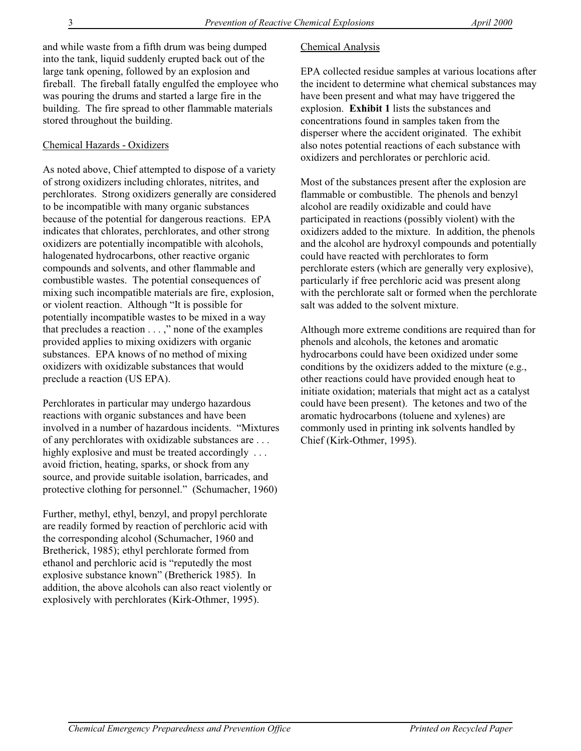and while waste from a fifth drum was being dumped into the tank, liquid suddenly erupted back out of the large tank opening, followed by an explosion and fireball. The fireball fatally engulfed the employee who was pouring the drums and started a large fire in the building. The fire spread to other flammable materials stored throughout the building.

#### Chemical Hazards - Oxidizers

As noted above, Chief attempted to dispose of a variety of strong oxidizers including chlorates, nitrites, and perchlorates. Strong oxidizers generally are considered to be incompatible with many organic substances because of the potential for dangerous reactions. EPA indicates that chlorates, perchlorates, and other strong oxidizers are potentially incompatible with alcohols, halogenated hydrocarbons, other reactive organic compounds and solvents, and other flammable and combustible wastes. The potential consequences of mixing such incompatible materials are fire, explosion, or violent reaction. Although "It is possible for potentially incompatible wastes to be mixed in a way that precludes a reaction . . . ," none of the examples provided applies to mixing oxidizers with organic substances. EPA knows of no method of mixing oxidizers with oxidizable substances that would preclude a reaction (US EPA).

Perchlorates in particular may undergo hazardous reactions with organic substances and have been involved in a number of hazardous incidents. "Mixtures of any perchlorates with oxidizable substances are . . . highly explosive and must be treated accordingly ... avoid friction, heating, sparks, or shock from any source, and provide suitable isolation, barricades, and protective clothing for personnel." (Schumacher, 1960)

Further, methyl, ethyl, benzyl, and propyl perchlorate are readily formed by reaction of perchloric acid with the corresponding alcohol (Schumacher, 1960 and Bretherick, 1985); ethyl perchlorate formed from ethanol and perchloric acid is "reputedly the most explosive substance known" (Bretherick 1985). In addition, the above alcohols can also react violently or explosively with perchlorates (Kirk-Othmer, 1995).

#### Chemical Analysis

EPA collected residue samples at various locations after the incident to determine what chemical substances may have been present and what may have triggered the explosion. **Exhibit 1** lists the substances and concentrations found in samples taken from the disperser where the accident originated. The exhibit also notes potential reactions of each substance with oxidizers and perchlorates or perchloric acid.

Most of the substances present after the explosion are flammable or combustible. The phenols and benzyl alcohol are readily oxidizable and could have participated in reactions (possibly violent) with the oxidizers added to the mixture. In addition, the phenols and the alcohol are hydroxyl compounds and potentially could have reacted with perchlorates to form perchlorate esters (which are generally very explosive), particularly if free perchloric acid was present along with the perchlorate salt or formed when the perchlorate salt was added to the solvent mixture.

Although more extreme conditions are required than for phenols and alcohols, the ketones and aromatic hydrocarbons could have been oxidized under some conditions by the oxidizers added to the mixture (e.g., other reactions could have provided enough heat to initiate oxidation; materials that might act as a catalyst could have been present). The ketones and two of the aromatic hydrocarbons (toluene and xylenes) are commonly used in printing ink solvents handled by Chief (Kirk-Othmer, 1995).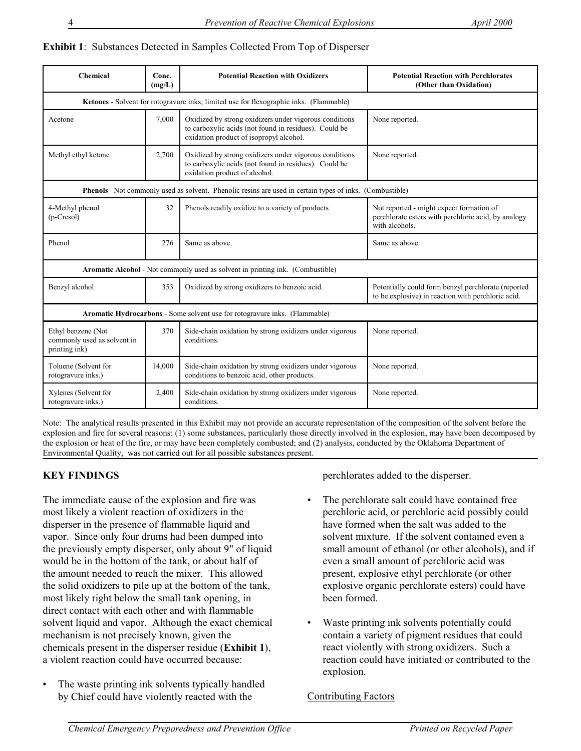#### **Exhibit 1**: Substances Detected in Samples Collected From Top of Disperser

| Chemical                                                                                               | Conc.<br>(mg/L) | <b>Potential Reaction with Oxidizers</b>                                                                                                                   | <b>Potential Reaction with Perchlorates</b><br>(Other than Oxidation)                                             |
|--------------------------------------------------------------------------------------------------------|-----------------|------------------------------------------------------------------------------------------------------------------------------------------------------------|-------------------------------------------------------------------------------------------------------------------|
| Ketones - Solvent for rotogravure inks; limited use for flexographic inks. (Flammable)                 |                 |                                                                                                                                                            |                                                                                                                   |
| Acetone                                                                                                | 7,000           | Oxidized by strong oxidizers under vigorous conditions<br>to carboxylic acids (not found in residues). Could be<br>oxidation product of isopropyl alcohol. | None reported.                                                                                                    |
| Methyl ethyl ketone                                                                                    | 2,700           | Oxidized by strong oxidizers under vigorous conditions<br>to carboxylic acids (not found in residues). Could be<br>oxidation product of alcohol.           | None reported.                                                                                                    |
| Phenols Not commonly used as solvent. Phenolic resins are used in certain types of inks. (Combustible) |                 |                                                                                                                                                            |                                                                                                                   |
| 4-Methyl phenol<br>(p-Cresol)                                                                          | 32              | Phenols readily oxidize to a variety of products                                                                                                           | Not reported - might expect formation of<br>perchlorate esters with perchloric acid, by analogy<br>with alcohols. |
| Phenol                                                                                                 | 276             | Same as above.                                                                                                                                             | Same as above.                                                                                                    |
| Aromatic Alcohol - Not commonly used as solvent in printing ink. (Combustible)                         |                 |                                                                                                                                                            |                                                                                                                   |
| Benzyl alcohol                                                                                         | 353             | Oxidized by strong oxidizers to benzoic acid.                                                                                                              | Potentially could form benzyl perchlorate (reported<br>to be explosive) in reaction with perchloric acid.         |
| Aromatic Hydrocarbons - Some solvent use for rotogravure inks. (Flammable)                             |                 |                                                                                                                                                            |                                                                                                                   |
| Ethyl benzene (Not<br>commonly used as solvent in<br>printing ink)                                     | 370             | Side-chain oxidation by strong oxidizers under vigorous<br>conditions.                                                                                     | None reported.                                                                                                    |
| Toluene (Solvent for<br>rotogravure inks.)                                                             | 14,000          | Side-chain oxidation by strong oxidizers under vigorous<br>conditions to benzoic acid, other products.                                                     | None reported.                                                                                                    |
| Xylenes (Solvent for<br>rotogravure inks.)                                                             | 2,400           | Side-chain oxidation by strong oxidizers under vigorous<br>conditions.                                                                                     | None reported.                                                                                                    |

Note: The analytical results presented in this Exhibit may not provide an accurate representation of the composition of the solvent before the explosion and fire for several reasons: (1) some substances, particularly those directly involved in the explosion, may have been decomposed by the explosion or heat of the fire, or may have been completely combusted; and (2) analysis, conducted by the Oklahoma Department of Environmental Quality, was not carried out for all possible substances present.

#### **KEY FINDINGS**

The immediate cause of the explosion and fire was most likely a violent reaction of oxidizers in the disperser in the presence of flammable liquid and vapor. Since only four drums had been dumped into the previously empty disperser, only about 9" of liquid would be in the bottom of the tank, or about half of the amount needed to reach the mixer. This allowed the solid oxidizers to pile up at the bottom of the tank, most likely right below the small tank opening, in direct contact with each other and with flammable solvent liquid and vapor. Although the exact chemical mechanism is not precisely known, given the chemicals present in the disperser residue (**Exhibit 1**), a violent reaction could have occurred because:

The waste printing ink solvents typically handled by Chief could have violently reacted with the

perchlorates added to the disperser.

- The perchlorate salt could have contained free perchloric acid, or perchloric acid possibly could have formed when the salt was added to the solvent mixture. If the solvent contained even a small amount of ethanol (or other alcohols), and if even a small amount of perchloric acid was present, explosive ethyl perchlorate (or other explosive organic perchlorate esters) could have been formed.
- Waste printing ink solvents potentially could contain a variety of pigment residues that could react violently with strong oxidizers. Such a reaction could have initiated or contributed to the explosion.

#### Contributing Factors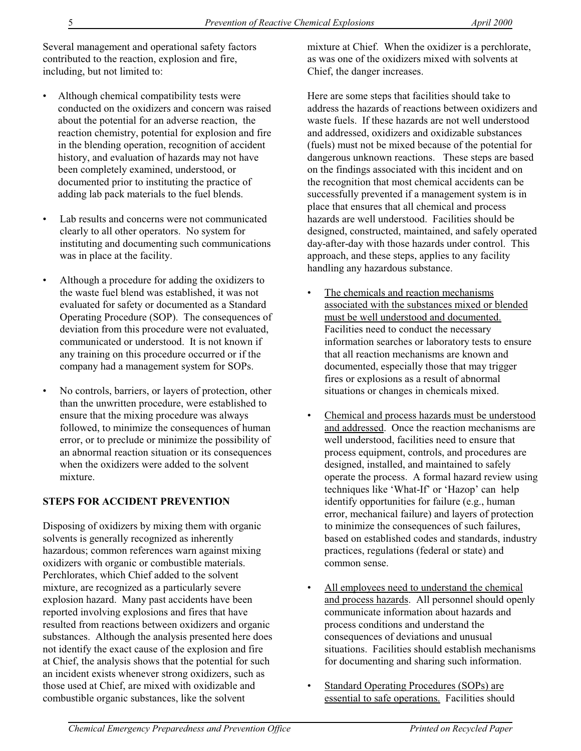Several management and operational safety factors contributed to the reaction, explosion and fire, including, but not limited to:

- Although chemical compatibility tests were conducted on the oxidizers and concern was raised about the potential for an adverse reaction, the reaction chemistry, potential for explosion and fire in the blending operation, recognition of accident history, and evaluation of hazards may not have been completely examined, understood, or documented prior to instituting the practice of adding lab pack materials to the fuel blends.
- Lab results and concerns were not communicated clearly to all other operators. No system for instituting and documenting such communications was in place at the facility.
- Although a procedure for adding the oxidizers to the waste fuel blend was established, it was not evaluated for safety or documented as a Standard Operating Procedure (SOP). The consequences of deviation from this procedure were not evaluated, communicated or understood. It is not known if any training on this procedure occurred or if the company had a management system for SOPs.
- No controls, barriers, or layers of protection, other than the unwritten procedure, were established to ensure that the mixing procedure was always followed, to minimize the consequences of human error, or to preclude or minimize the possibility of an abnormal reaction situation or its consequences when the oxidizers were added to the solvent mixture.

#### **STEPS FOR ACCIDENT PREVENTION**

Disposing of oxidizers by mixing them with organic solvents is generally recognized as inherently hazardous; common references warn against mixing oxidizers with organic or combustible materials. Perchlorates, which Chief added to the solvent mixture, are recognized as a particularly severe explosion hazard. Many past accidents have been reported involving explosions and fires that have resulted from reactions between oxidizers and organic substances. Although the analysis presented here does not identify the exact cause of the explosion and fire at Chief, the analysis shows that the potential for such an incident exists whenever strong oxidizers, such as those used at Chief, are mixed with oxidizable and combustible organic substances, like the solvent

mixture at Chief. When the oxidizer is a perchlorate, as was one of the oxidizers mixed with solvents at Chief, the danger increases.

Here are some steps that facilities should take to address the hazards of reactions between oxidizers and waste fuels. If these hazards are not well understood and addressed, oxidizers and oxidizable substances (fuels) must not be mixed because of the potential for dangerous unknown reactions. These steps are based on the findings associated with this incident and on the recognition that most chemical accidents can be successfully prevented if a management system is in place that ensures that all chemical and process hazards are well understood. Facilities should be designed, constructed, maintained, and safely operated day-after-day with those hazards under control. This approach, and these steps, applies to any facility handling any hazardous substance.

- The chemicals and reaction mechanisms associated with the substances mixed or blended must be well understood and documented. Facilities need to conduct the necessary information searches or laboratory tests to ensure that all reaction mechanisms are known and documented, especially those that may trigger fires or explosions as a result of abnormal situations or changes in chemicals mixed.
- Chemical and process hazards must be understood and addressed. Once the reaction mechanisms are well understood, facilities need to ensure that process equipment, controls, and procedures are designed, installed, and maintained to safely operate the process. A formal hazard review using techniques like 'What-If' or 'Hazop' can help identify opportunities for failure (e.g., human error, mechanical failure) and layers of protection to minimize the consequences of such failures, based on established codes and standards, industry practices, regulations (federal or state) and common sense.
- All employees need to understand the chemical and process hazards. All personnel should openly communicate information about hazards and process conditions and understand the consequences of deviations and unusual situations. Facilities should establish mechanisms for documenting and sharing such information.
- Standard Operating Procedures (SOPs) are essential to safe operations. Facilities should